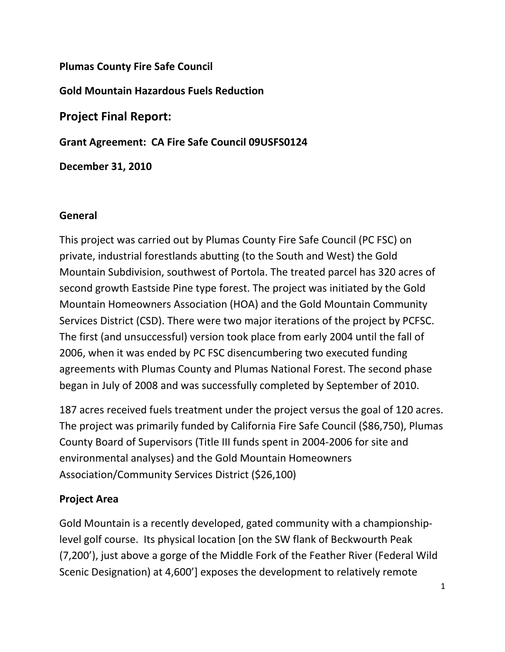Plumas County Fire Safe Council

Gold Mountain Hazardous Fuels Reduction

Project Final Report:

Grant Agreement: CA Fire Safe Council 09USFS0124

December 31, 2010

# General

This project was carried out by Plumas County Fire Safe Council (PC FSC) on private, industrial forestlands abutting (to the South and West) the Gold Mountain Subdivision, southwest of Portola. The treated parcel has 320 acres of second growth Eastside Pine type forest. The project was initiated by the Gold Mountain Homeowners Association (HOA) and the Gold Mountain Community Services District (CSD). There were two major iterations of the project by PCFSC. The first (and unsuccessful) version took place from early 2004 until the fall of 2006, when it was ended by PC FSC disencumbering two executed funding agreements with Plumas County and Plumas National Forest. The second phase began in July of 2008 and was successfully completed by September of 2010.

187 acres received fuels treatment under the project versus the goal of 120 acres. The project was primarily funded by California Fire Safe Council (\$86,750), Plumas County Board of Supervisors (Title III funds spent in 2004-2006 for site and environmental analyses) and the Gold Mountain Homeowners Association/Community Services District (\$26,100)

# Project Area

Gold Mountain is a recently developed, gated community with a championshiplevel golf course. Its physical location [on the SW flank of Beckwourth Peak (7,200'), just above a gorge of the Middle Fork of the Feather River (Federal Wild Scenic Designation) at 4,600'] exposes the development to relatively remote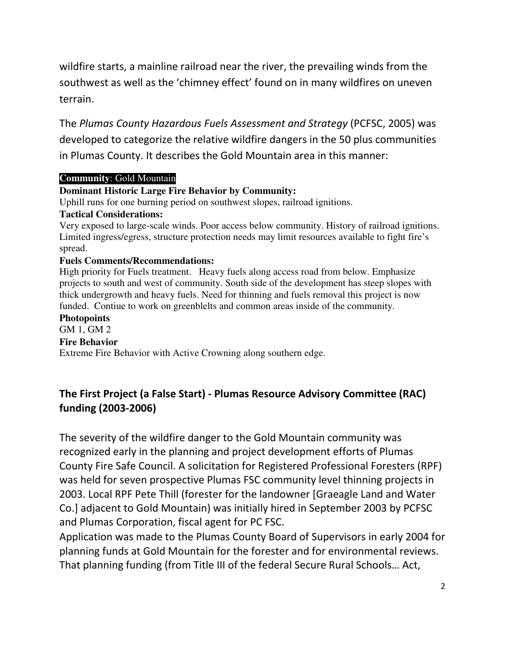wildfire starts, a mainline railroad near the river, the prevailing winds from the southwest as well as the 'chimney effect' found on in many wildfires on uneven terrain.

The Plumas County Hazardous Fuels Assessment and Strategy (PCFSC, 2005) was developed to categorize the relative wildfire dangers in the 50 plus communities in Plumas County. It describes the Gold Mountain area in this manner:

### **Community**: Gold Mountain

### **Dominant Historic Large Fire Behavior by Community:**

Uphill runs for one burning period on southwest slopes, railroad ignitions.

#### **Tactical Considerations:**

Very exposed to large-scale winds. Poor access below community. History of railroad ignitions. Limited ingress/egress, structure protection needs may limit resources available to fight fire's spread.

#### **Fuels Comments/Recommendations:**

High priority for Fuels treatment. Heavy fuels along access road from below. Emphasize projects to south and west of community. South side of the development has steep slopes with thick undergrowth and heavy fuels. Need for thinning and fuels removal this project is now funded. Contiue to work on greenblelts and common areas inside of the community.

#### **Photopoints**

GM 1, GM 2

#### **Fire Behavior**

Extreme Fire Behavior with Active Crowning along southern edge.

## The First Project (a False Start) - Plumas Resource Advisory Committee (RAC) funding (2003-2006)

The severity of the wildfire danger to the Gold Mountain community was recognized early in the planning and project development efforts of Plumas County Fire Safe Council. A solicitation for Registered Professional Foresters (RPF) was held for seven prospective Plumas FSC community level thinning projects in 2003. Local RPF Pete Thill (forester for the landowner [Graeagle Land and Water Co.] adjacent to Gold Mountain) was initially hired in September 2003 by PCFSC and Plumas Corporation, fiscal agent for PC FSC.

Application was made to the Plumas County Board of Supervisors in early 2004 for planning funds at Gold Mountain for the forester and for environmental reviews. That planning funding (from Title III of the federal Secure Rural Schools… Act,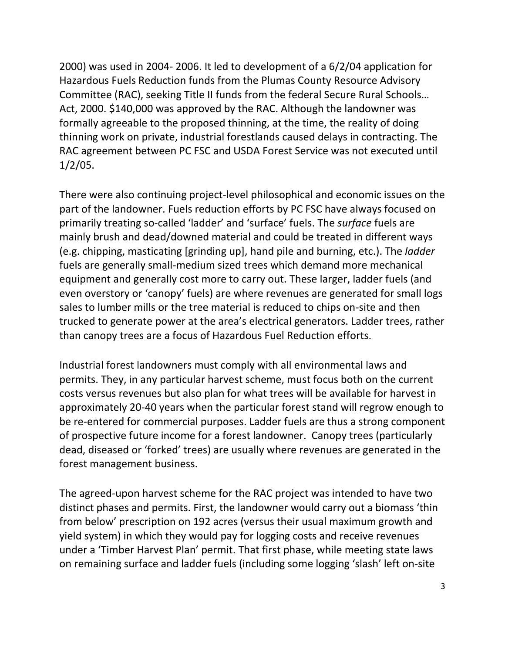2000) was used in 2004- 2006. It led to development of a 6/2/04 application for Hazardous Fuels Reduction funds from the Plumas County Resource Advisory Committee (RAC), seeking Title II funds from the federal Secure Rural Schools… Act, 2000. \$140,000 was approved by the RAC. Although the landowner was formally agreeable to the proposed thinning, at the time, the reality of doing thinning work on private, industrial forestlands caused delays in contracting. The RAC agreement between PC FSC and USDA Forest Service was not executed until 1/2/05.

There were also continuing project-level philosophical and economic issues on the part of the landowner. Fuels reduction efforts by PC FSC have always focused on primarily treating so-called 'ladder' and 'surface' fuels. The surface fuels are mainly brush and dead/downed material and could be treated in different ways (e.g. chipping, masticating [grinding up], hand pile and burning, etc.). The ladder fuels are generally small-medium sized trees which demand more mechanical equipment and generally cost more to carry out. These larger, ladder fuels (and even overstory or 'canopy' fuels) are where revenues are generated for small logs sales to lumber mills or the tree material is reduced to chips on-site and then trucked to generate power at the area's electrical generators. Ladder trees, rather than canopy trees are a focus of Hazardous Fuel Reduction efforts.

Industrial forest landowners must comply with all environmental laws and permits. They, in any particular harvest scheme, must focus both on the current costs versus revenues but also plan for what trees will be available for harvest in approximately 20-40 years when the particular forest stand will regrow enough to be re-entered for commercial purposes. Ladder fuels are thus a strong component of prospective future income for a forest landowner. Canopy trees (particularly dead, diseased or 'forked' trees) are usually where revenues are generated in the forest management business.

The agreed-upon harvest scheme for the RAC project was intended to have two distinct phases and permits. First, the landowner would carry out a biomass 'thin from below' prescription on 192 acres (versus their usual maximum growth and yield system) in which they would pay for logging costs and receive revenues under a 'Timber Harvest Plan' permit. That first phase, while meeting state laws on remaining surface and ladder fuels (including some logging 'slash' left on-site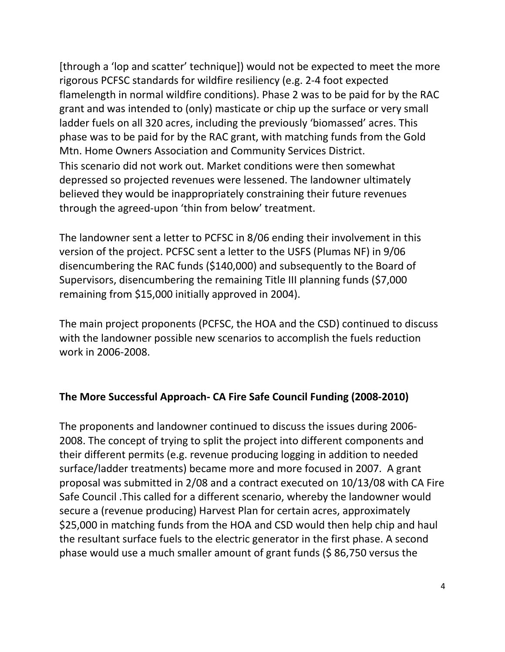[through a 'lop and scatter' technique]) would not be expected to meet the more rigorous PCFSC standards for wildfire resiliency (e.g. 2-4 foot expected flamelength in normal wildfire conditions). Phase 2 was to be paid for by the RAC grant and was intended to (only) masticate or chip up the surface or very small ladder fuels on all 320 acres, including the previously 'biomassed' acres. This phase was to be paid for by the RAC grant, with matching funds from the Gold Mtn. Home Owners Association and Community Services District. This scenario did not work out. Market conditions were then somewhat depressed so projected revenues were lessened. The landowner ultimately believed they would be inappropriately constraining their future revenues through the agreed-upon 'thin from below' treatment.

The landowner sent a letter to PCFSC in 8/06 ending their involvement in this version of the project. PCFSC sent a letter to the USFS (Plumas NF) in 9/06 disencumbering the RAC funds (\$140,000) and subsequently to the Board of Supervisors, disencumbering the remaining Title III planning funds (\$7,000 remaining from \$15,000 initially approved in 2004).

The main project proponents (PCFSC, the HOA and the CSD) continued to discuss with the landowner possible new scenarios to accomplish the fuels reduction work in 2006-2008.

### The More Successful Approach- CA Fire Safe Council Funding (2008-2010)

The proponents and landowner continued to discuss the issues during 2006- 2008. The concept of trying to split the project into different components and their different permits (e.g. revenue producing logging in addition to needed surface/ladder treatments) became more and more focused in 2007. A grant proposal was submitted in 2/08 and a contract executed on 10/13/08 with CA Fire Safe Council .This called for a different scenario, whereby the landowner would secure a (revenue producing) Harvest Plan for certain acres, approximately \$25,000 in matching funds from the HOA and CSD would then help chip and haul the resultant surface fuels to the electric generator in the first phase. A second phase would use a much smaller amount of grant funds (\$ 86,750 versus the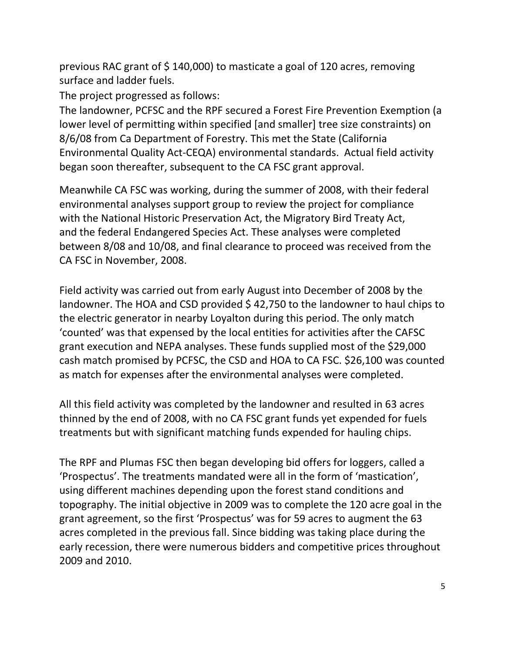previous RAC grant of \$ 140,000) to masticate a goal of 120 acres, removing surface and ladder fuels.

The project progressed as follows:

The landowner, PCFSC and the RPF secured a Forest Fire Prevention Exemption (a lower level of permitting within specified [and smaller] tree size constraints) on 8/6/08 from Ca Department of Forestry. This met the State (California Environmental Quality Act-CEQA) environmental standards. Actual field activity began soon thereafter, subsequent to the CA FSC grant approval.

Meanwhile CA FSC was working, during the summer of 2008, with their federal environmental analyses support group to review the project for compliance with the National Historic Preservation Act, the Migratory Bird Treaty Act, and the federal Endangered Species Act. These analyses were completed between 8/08 and 10/08, and final clearance to proceed was received from the CA FSC in November, 2008.

Field activity was carried out from early August into December of 2008 by the landowner. The HOA and CSD provided \$42,750 to the landowner to haul chips to the electric generator in nearby Loyalton during this period. The only match 'counted' was that expensed by the local entities for activities after the CAFSC grant execution and NEPA analyses. These funds supplied most of the \$29,000 cash match promised by PCFSC, the CSD and HOA to CA FSC. \$26,100 was counted as match for expenses after the environmental analyses were completed.

All this field activity was completed by the landowner and resulted in 63 acres thinned by the end of 2008, with no CA FSC grant funds yet expended for fuels treatments but with significant matching funds expended for hauling chips.

The RPF and Plumas FSC then began developing bid offers for loggers, called a 'Prospectus'. The treatments mandated were all in the form of 'mastication', using different machines depending upon the forest stand conditions and topography. The initial objective in 2009 was to complete the 120 acre goal in the grant agreement, so the first 'Prospectus' was for 59 acres to augment the 63 acres completed in the previous fall. Since bidding was taking place during the early recession, there were numerous bidders and competitive prices throughout 2009 and 2010.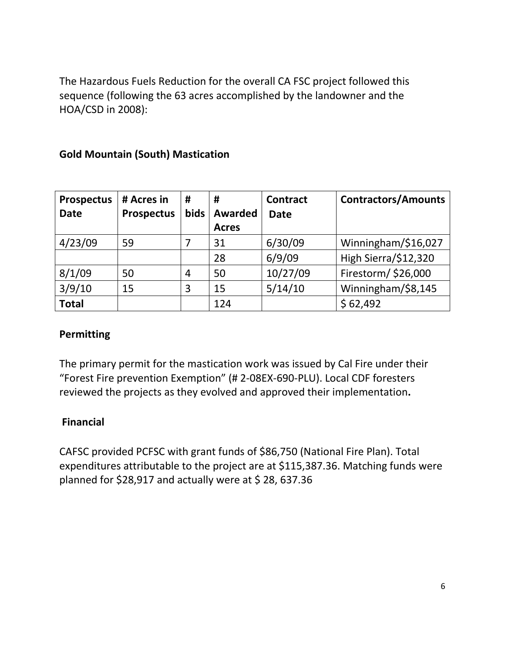The Hazardous Fuels Reduction for the overall CA FSC project followed this sequence (following the 63 acres accomplished by the landowner and the HOA/CSD in 2008):

## Gold Mountain (South) Mastication

| <b>Prospectus</b> | # Acres in        | #              | #              | <b>Contract</b> | <b>Contractors/Amounts</b> |
|-------------------|-------------------|----------------|----------------|-----------------|----------------------------|
| <b>Date</b>       | <b>Prospectus</b> | bids           | <b>Awarded</b> | <b>Date</b>     |                            |
|                   |                   |                | <b>Acres</b>   |                 |                            |
| 4/23/09           | 59                |                | 31             | 6/30/09         | Winningham/\$16,027        |
|                   |                   |                | 28             | 6/9/09          | High Sierra/\$12,320       |
| 8/1/09            | 50                | $\overline{4}$ | 50             | 10/27/09        | Firestorm/ \$26,000        |
| 3/9/10            | 15                | 3              | 15             | 5/14/10         | Winningham/\$8,145         |
| <b>Total</b>      |                   |                | 124            |                 | \$62,492                   |

### Permitting

The primary permit for the mastication work was issued by Cal Fire under their "Forest Fire prevention Exemption" (# 2-08EX-690-PLU). Local CDF foresters reviewed the projects as they evolved and approved their implementation.

### Financial

CAFSC provided PCFSC with grant funds of \$86,750 (National Fire Plan). Total expenditures attributable to the project are at \$115,387.36. Matching funds were planned for \$28,917 and actually were at \$ 28, 637.36